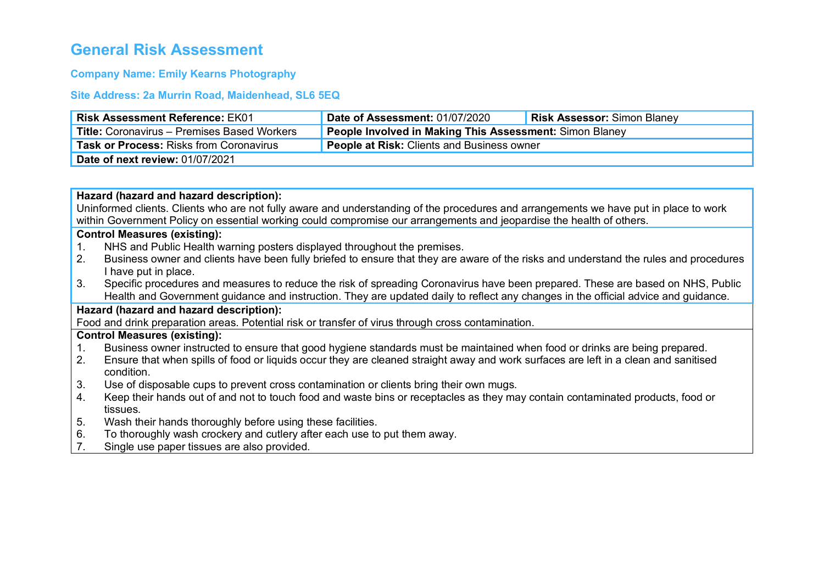# **General Risk Assessment**

# **Company Name: Emily Kearns Photography**

# **Site Address: 2a Murrin Road, Maidenhead, SL6 5EQ**

|                                                                                                                                                                                                                                                               | <b>Risk Assessment Reference: EK01</b>                                                                                                                                                                                                                                | <b>Date of Assessment: 01/07/2020</b>                   | <b>Risk Assessor: Simon Blaney</b> |
|---------------------------------------------------------------------------------------------------------------------------------------------------------------------------------------------------------------------------------------------------------------|-----------------------------------------------------------------------------------------------------------------------------------------------------------------------------------------------------------------------------------------------------------------------|---------------------------------------------------------|------------------------------------|
|                                                                                                                                                                                                                                                               | <b>Title: Coronavirus - Premises Based Workers</b>                                                                                                                                                                                                                    | People Involved in Making This Assessment: Simon Blaney |                                    |
| People at Risk: Clients and Business owner<br>Task or Process: Risks from Coronavirus                                                                                                                                                                         |                                                                                                                                                                                                                                                                       |                                                         |                                    |
| Date of next review: 01/07/2021                                                                                                                                                                                                                               |                                                                                                                                                                                                                                                                       |                                                         |                                    |
|                                                                                                                                                                                                                                                               |                                                                                                                                                                                                                                                                       |                                                         |                                    |
| Hazard (hazard and hazard description):                                                                                                                                                                                                                       |                                                                                                                                                                                                                                                                       |                                                         |                                    |
| Uninformed clients. Clients who are not fully aware and understanding of the procedures and arrangements we have put in place to work<br>within Government Policy on essential working could compromise our arrangements and jeopardise the health of others. |                                                                                                                                                                                                                                                                       |                                                         |                                    |
| <b>Control Measures (existing):</b>                                                                                                                                                                                                                           |                                                                                                                                                                                                                                                                       |                                                         |                                    |
| 1.                                                                                                                                                                                                                                                            | NHS and Public Health warning posters displayed throughout the premises.                                                                                                                                                                                              |                                                         |                                    |
| 2.                                                                                                                                                                                                                                                            | Business owner and clients have been fully briefed to ensure that they are aware of the risks and understand the rules and procedures                                                                                                                                 |                                                         |                                    |
|                                                                                                                                                                                                                                                               | I have put in place.                                                                                                                                                                                                                                                  |                                                         |                                    |
| 3.                                                                                                                                                                                                                                                            | Specific procedures and measures to reduce the risk of spreading Coronavirus have been prepared. These are based on NHS, Public<br>Health and Government guidance and instruction. They are updated daily to reflect any changes in the official advice and guidance. |                                                         |                                    |
| Hazard (hazard and hazard description):                                                                                                                                                                                                                       |                                                                                                                                                                                                                                                                       |                                                         |                                    |
| Food and drink preparation areas. Potential risk or transfer of virus through cross contamination.                                                                                                                                                            |                                                                                                                                                                                                                                                                       |                                                         |                                    |
| <b>Control Measures (existing):</b>                                                                                                                                                                                                                           |                                                                                                                                                                                                                                                                       |                                                         |                                    |
| $\mathbf{1}$ .                                                                                                                                                                                                                                                | Business owner instructed to ensure that good hygiene standards must be maintained when food or drinks are being prepared.                                                                                                                                            |                                                         |                                    |
| 2.                                                                                                                                                                                                                                                            | Ensure that when spills of food or liquids occur they are cleaned straight away and work surfaces are left in a clean and sanitised                                                                                                                                   |                                                         |                                    |
|                                                                                                                                                                                                                                                               | condition.                                                                                                                                                                                                                                                            |                                                         |                                    |
| 3.                                                                                                                                                                                                                                                            | Use of disposable cups to prevent cross contamination or clients bring their own mugs.                                                                                                                                                                                |                                                         |                                    |
| 4.                                                                                                                                                                                                                                                            | Keep their hands out of and not to touch food and waste bins or receptacles as they may contain contaminated products, food or                                                                                                                                        |                                                         |                                    |
|                                                                                                                                                                                                                                                               | tissues.                                                                                                                                                                                                                                                              |                                                         |                                    |
| 5.                                                                                                                                                                                                                                                            | Wash their hands thoroughly before using these facilities.                                                                                                                                                                                                            |                                                         |                                    |
| 6.                                                                                                                                                                                                                                                            | To thoroughly wash crockery and cutlery after each use to put them away.                                                                                                                                                                                              |                                                         |                                    |
| 7.                                                                                                                                                                                                                                                            | Single use paper tissues are also provided.                                                                                                                                                                                                                           |                                                         |                                    |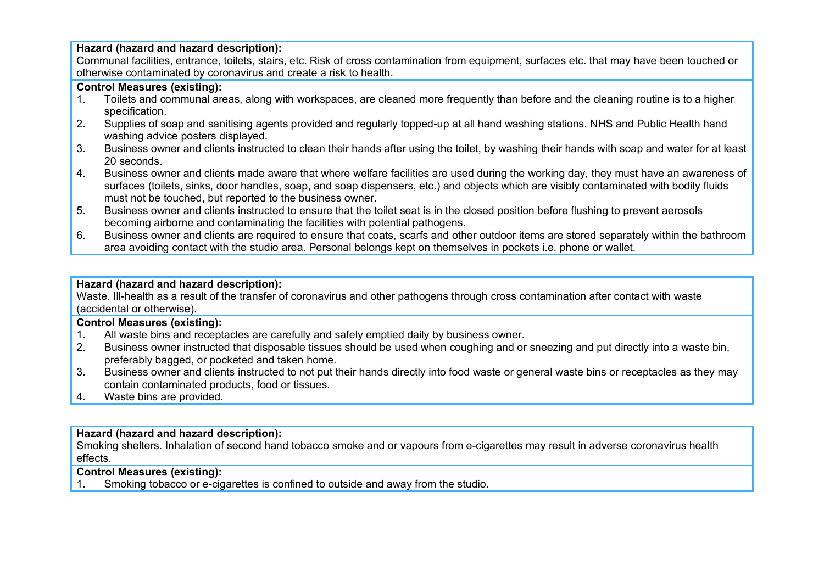## **Hazard (hazard and hazard description):**

Communal facilities, entrance, toilets, stairs, etc. Risk of cross contamination from equipment, surfaces etc. that may have been touched or otherwise contaminated by coronavirus and create a risk to health.

# **Control Measures (existing):**

- 1. Toilets and communal areas, along with workspaces, are cleaned more frequently than before and the cleaning routine is to a higher specification.
- 2. Supplies of soap and sanitising agents provided and regularly topped-up at all hand washing stations. NHS and Public Health hand washing advice posters displayed.
- 3. Business owner and clients instructed to clean their hands after using the toilet, by washing their hands with soap and water for at least 20 seconds.
- 4. Business owner and clients made aware that where welfare facilities are used during the working day, they must have an awareness of surfaces (toilets, sinks, door handles, soap, and soap dispensers, etc.) and objects which are visibly contaminated with bodily fluids must not be touched, but reported to the business owner.
- 5. Business owner and clients instructed to ensure that the toilet seat is in the closed position before flushing to prevent aerosols becoming airborne and contaminating the facilities with potential pathogens.
- 6. Business owner and clients are required to ensure that coats, scarfs and other outdoor items are stored separately within the bathroom area avoiding contact with the studio area. Personal belongs kept on themselves in pockets i.e. phone or wallet.

## **Hazard (hazard and hazard description):**

Waste. Ill-health as a result of the transfer of coronavirus and other pathogens through cross contamination after contact with waste (accidental or otherwise).

## **Control Measures (existing):**

- 1. All waste bins and receptacles are carefully and safely emptied daily by business owner.
- 2. Business owner instructed that disposable tissues should be used when coughing and or sneezing and put directly into a waste bin, preferably bagged, or pocketed and taken home.
- 3. Business owner and clients instructed to not put their hands directly into food waste or general waste bins or receptacles as they may contain contaminated products, food or tissues.
- 4. Waste bins are provided.

## **Hazard (hazard and hazard description):**

Smoking shelters. Inhalation of second hand tobacco smoke and or vapours from e-cigarettes may result in adverse coronavirus health effects.

## **Control Measures (existing):**

1. Smoking tobacco or e-cigarettes is confined to outside and away from the studio.